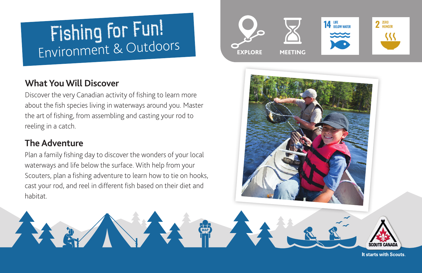# Fishing for Fun! Environment & Outdoors

## **What You Will Discover**

Discover the very Canadian activity of fishing to learn more about the fish species living in waterways around you. Master the art of fishing, from assembling and casting your rod to reeling in a catch.

# **The Adventure**

Plan a family fishing day to discover the wonders of your local waterways and life below the surface. With help from your Scouters, plan a fishing adventure to learn how to tie on hooks, cast your rod, and reel in different fish based on their diet and habitat.





It starts with Scouts.